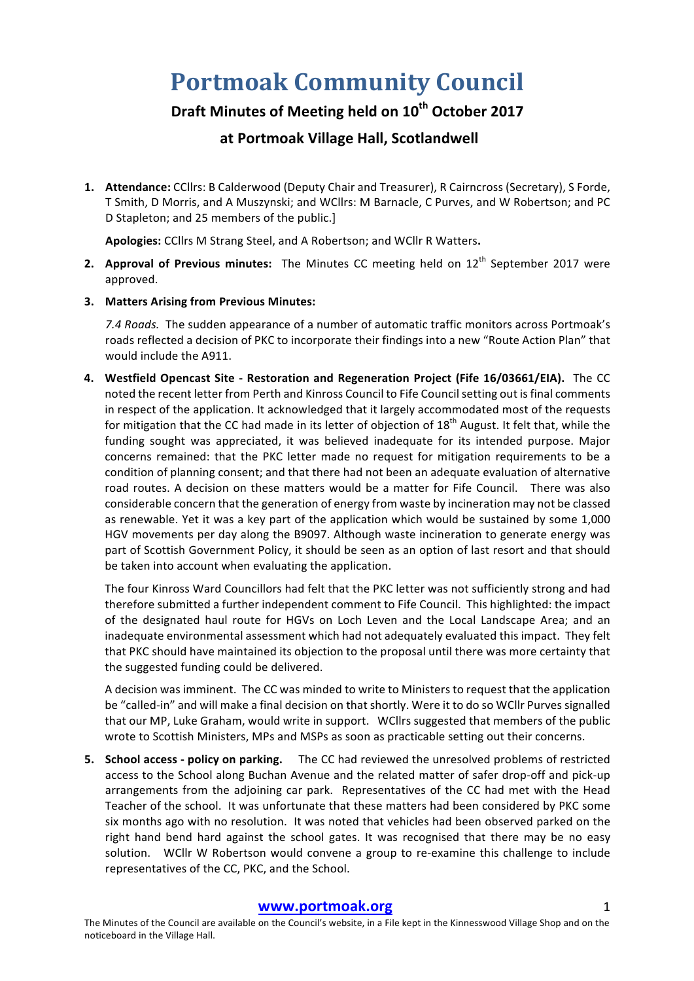# **Portmoak Community Council**

## **Draft Minutes of Meeting held on 10th October 2017**

### **at Portmoak Village Hall, Scotlandwell**

1. **Attendance:** CCllrs: B Calderwood (Deputy Chair and Treasurer), R Cairncross (Secretary), S Forde, T Smith, D Morris, and A Muszynski; and WCllrs: M Barnacle, C Purves, and W Robertson; and PC D Stapleton; and 25 members of the public.]

Apologies: CCllrs M Strang Steel, and A Robertson; and WCllr R Watters.

- **2.** Approval of Previous minutes: The Minutes CC meeting held on 12<sup>th</sup> September 2017 were approved.
- **3. Matters Arising from Previous Minutes:**

7.4 *Roads*. The sudden appearance of a number of automatic traffic monitors across Portmoak's roads reflected a decision of PKC to incorporate their findings into a new "Route Action Plan" that would include the A911.

**4. Westfield Opencast Site - Restoration and Regeneration Project (Fife 16/03661/EIA).** The CC noted the recent letter from Perth and Kinross Council to Fife Council setting out is final comments in respect of the application. It acknowledged that it largely accommodated most of the requests for mitigation that the CC had made in its letter of objection of  $18<sup>th</sup>$  August. It felt that, while the funding sought was appreciated, it was believed inadequate for its intended purpose. Major concerns remained: that the PKC letter made no request for mitigation requirements to be a condition of planning consent; and that there had not been an adequate evaluation of alternative road routes. A decision on these matters would be a matter for Fife Council. There was also considerable concern that the generation of energy from waste by incineration may not be classed as renewable. Yet it was a key part of the application which would be sustained by some 1,000 HGV movements per day along the B9097. Although waste incineration to generate energy was part of Scottish Government Policy, it should be seen as an option of last resort and that should be taken into account when evaluating the application.

The four Kinross Ward Councillors had felt that the PKC letter was not sufficiently strong and had therefore submitted a further independent comment to Fife Council. This highlighted: the impact of the designated haul route for HGVs on Loch Leven and the Local Landscape Area; and an inadequate environmental assessment which had not adequately evaluated this impact. They felt that PKC should have maintained its objection to the proposal until there was more certainty that the suggested funding could be delivered.

A decision was imminent. The CC was minded to write to Ministers to request that the application be "called-in" and will make a final decision on that shortly. Were it to do so WCllr Purves signalled that our MP, Luke Graham, would write in support. WCllrs suggested that members of the public wrote to Scottish Ministers, MPs and MSPs as soon as practicable setting out their concerns.

**5. School access - policy on parking.** The CC had reviewed the unresolved problems of restricted access to the School along Buchan Avenue and the related matter of safer drop-off and pick-up arrangements from the adjoining car park. Representatives of the CC had met with the Head Teacher of the school. It was unfortunate that these matters had been considered by PKC some six months ago with no resolution. It was noted that vehicles had been observed parked on the right hand bend hard against the school gates. It was recognised that there may be no easy solution. WCllr W Robertson would convene a group to re-examine this challenge to include representatives of the CC, PKC, and the School.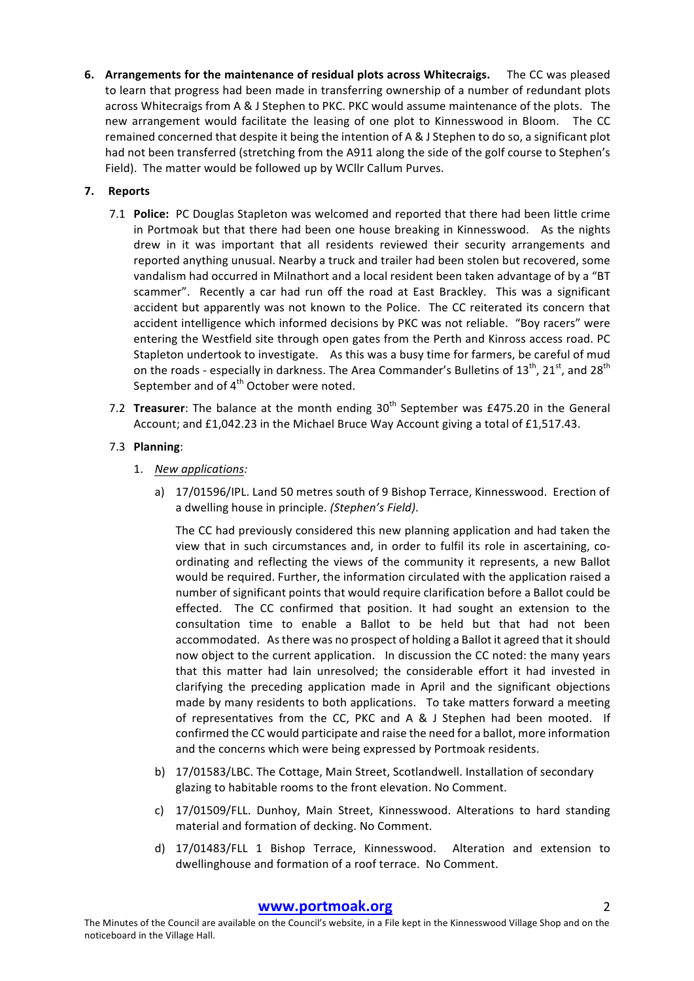**6.** Arrangements for the maintenance of residual plots across Whitecraigs. The CC was pleased to learn that progress had been made in transferring ownership of a number of redundant plots across Whitecraigs from A & J Stephen to PKC. PKC would assume maintenance of the plots. The new arrangement would facilitate the leasing of one plot to Kinnesswood in Bloom. The CC remained concerned that despite it being the intention of A & J Stephen to do so, a significant plot had not been transferred (stretching from the A911 along the side of the golf course to Stephen's Field). The matter would be followed up by WCllr Callum Purves.

#### **7. Reports**

- 7.1 **Police:** PC Douglas Stapleton was welcomed and reported that there had been little crime in Portmoak but that there had been one house breaking in Kinnesswood. As the nights drew in it was important that all residents reviewed their security arrangements and reported anything unusual. Nearby a truck and trailer had been stolen but recovered, some vandalism had occurred in Milnathort and a local resident been taken advantage of by a "BT scammer". Recently a car had run off the road at East Brackley. This was a significant accident but apparently was not known to the Police. The CC reiterated its concern that accident intelligence which informed decisions by PKC was not reliable. "Boy racers" were entering the Westfield site through open gates from the Perth and Kinross access road. PC Stapleton undertook to investigate. As this was a busy time for farmers, be careful of mud on the roads - especially in darkness. The Area Commander's Bulletins of  $13^{th}$ ,  $21^{st}$ , and  $28^{th}$ September and of  $4<sup>th</sup>$  October were noted.
- 7.2 **Treasurer**: The balance at the month ending 30<sup>th</sup> September was £475.20 in the General Account; and  $£1,042.23$  in the Michael Bruce Way Account giving a total of £1,517.43.

#### 7.3 **Planning**:

- 1. *New applications:*
	- a) 17/01596/IPL. Land 50 metres south of 9 Bishop Terrace, Kinnesswood. Erection of a dwelling house in principle. (Stephen's Field).

The CC had previously considered this new planning application and had taken the view that in such circumstances and, in order to fulfil its role in ascertaining, coordinating and reflecting the views of the community it represents, a new Ballot would be required. Further, the information circulated with the application raised a number of significant points that would require clarification before a Ballot could be effected. The CC confirmed that position. It had sought an extension to the consultation time to enable a Ballot to be held but that had not been accommodated. As there was no prospect of holding a Ballot it agreed that it should now object to the current application. In discussion the CC noted: the many years that this matter had lain unresolved; the considerable effort it had invested in clarifying the preceding application made in April and the significant objections made by many residents to both applications. To take matters forward a meeting of representatives from the CC, PKC and A & J Stephen had been mooted. If confirmed the CC would participate and raise the need for a ballot, more information and the concerns which were being expressed by Portmoak residents.

- b) 17/01583/LBC. The Cottage, Main Street, Scotlandwell, Installation of secondary glazing to habitable rooms to the front elevation. No Comment.
- c) 17/01509/FLL. Dunhoy, Main Street, Kinnesswood. Alterations to hard standing material and formation of decking. No Comment.
- d) 17/01483/FLL 1 Bishop Terrace, Kinnesswood. Alteration and extension to dwellinghouse and formation of a roof terrace. No Comment.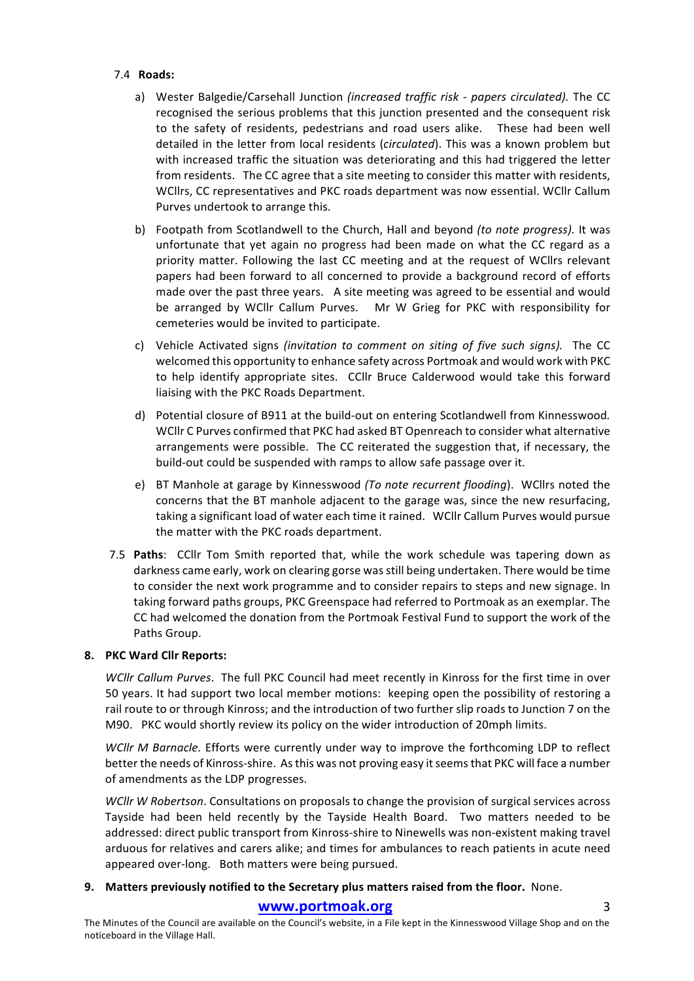#### 7.4 **Roads:**

- a) Wester Balgedie/Carsehall Junction *(increased traffic risk papers circulated).* The CC recognised the serious problems that this junction presented and the consequent risk to the safety of residents, pedestrians and road users alike. These had been well detailed in the letter from local residents (*circulated*). This was a known problem but with increased traffic the situation was deteriorating and this had triggered the letter from residents. The CC agree that a site meeting to consider this matter with residents, WCllrs, CC representatives and PKC roads department was now essential. WCllr Callum Purves undertook to arrange this.
- b) Footpath from Scotlandwell to the Church, Hall and beyond *(to note progress)*. It was unfortunate that yet again no progress had been made on what the CC regard as a priority matter. Following the last CC meeting and at the request of WCllrs relevant papers had been forward to all concerned to provide a background record of efforts made over the past three years. A site meeting was agreed to be essential and would be arranged by WCllr Callum Purves. Mr W Grieg for PKC with responsibility for cemeteries would be invited to participate.
- c) Vehicle Activated signs *(invitation to comment on siting of five such signs)*. The CC welcomed this opportunity to enhance safety across Portmoak and would work with PKC to help identify appropriate sites. CCllr Bruce Calderwood would take this forward liaising with the PKC Roads Department.
- d) Potential closure of B911 at the build-out on entering Scotlandwell from Kinnesswood. WCllr C Purves confirmed that PKC had asked BT Openreach to consider what alternative arrangements were possible. The CC reiterated the suggestion that, if necessary, the build-out could be suspended with ramps to allow safe passage over it.
- e) BT Manhole at garage by Kinnesswood *(To note recurrent flooding*). WCllrs noted the concerns that the BT manhole adjacent to the garage was, since the new resurfacing, taking a significant load of water each time it rained. WCllr Callum Purves would pursue the matter with the PKC roads department.
- 7.5 **Paths**: CCllr Tom Smith reported that, while the work schedule was tapering down as darkness came early, work on clearing gorse was still being undertaken. There would be time to consider the next work programme and to consider repairs to steps and new signage. In taking forward paths groups, PKC Greenspace had referred to Portmoak as an exemplar. The CC had welcomed the donation from the Portmoak Festival Fund to support the work of the Paths Group.

#### 8. PKC Ward Cllr Reports:

*WCllr Callum Purves*. The full PKC Council had meet recently in Kinross for the first time in over 50 years. It had support two local member motions: keeping open the possibility of restoring a rail route to or through Kinross; and the introduction of two further slip roads to Junction 7 on the M90. PKC would shortly review its policy on the wider introduction of 20mph limits.

*WCllr M Barnacle.* Efforts were currently under way to improve the forthcoming LDP to reflect better the needs of Kinross-shire. As this was not proving easy it seems that PKC will face a number of amendments as the LDP progresses.

*WCllr W Robertson*. Consultations on proposals to change the provision of surgical services across Tayside had been held recently by the Tayside Health Board. Two matters needed to be addressed: direct public transport from Kinross-shire to Ninewells was non-existent making travel arduous for relatives and carers alike; and times for ambulances to reach patients in acute need appeared over-long. Both matters were being pursued.

#### 9. Matters previously notified to the Secretary plus matters raised from the floor. None.

#### **www.portmoak.org** 3